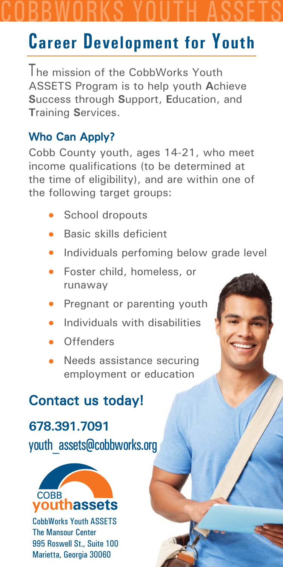# COBBWORKS YOUTH ASSETS

## **Career Development for Youth**

I he mission of the CobbWorks Youth ASSETS Program is to help youth **A**chieve **S**uccess through **S**upport, **E**ducation, and **T**raining **S**ervices.

### Who Can Apply?

Cobb County youth, ages 14-21, who meet income qualifications (to be determined at the time of eligibility), and are within one of the following target groups:

- School dropouts
- $\bullet$  Basic skills deficient
- Individuals perfoming below grade level
- Foster child, homeless, or runaway
- Pregnant or parenting youth
- Individuals with disabilities
- **Offenders**
- Needs assistance securing employment or education

### **Contact us today!**

### **678.391.7091 78.391.7091**

youth\_assets@cobbworks.org



CobbWorks Youth ASSETS The Mansour Center 995 Roswell St., Suite 100 Marietta, Georgia 30060